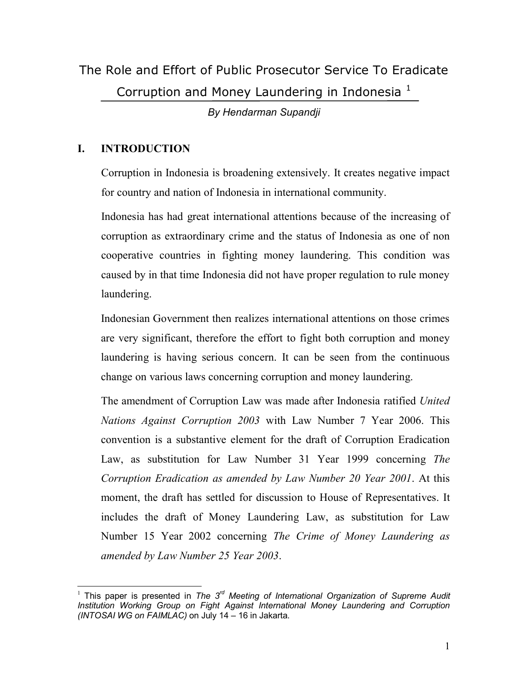The Role and Effort of Public Prosecutor Service To Eradicate Corruption and Money Laundering in Indonesia<sup>1</sup>

*By Hendarman Supandji*

# **I. INTRODUCTION**

Corruption in Indonesia is broadening extensively. It creates negative impact for country and nation of Indonesia in international community.

Indonesia has had great international attentions because of the increasing of corruption as extraordinary crime and the status of Indonesia as one of non cooperative countries in fighting money laundering. This condition was caused by in that time Indonesia did not have proper regulation to rule money laundering.

Indonesian Government then realizes international attentions on those crimes are very significant, therefore the effort to fight both corruption and money laundering is having serious concern. It can be seen from the continuous change on various laws concerning corruption and money laundering.

The amendment of Corruption Law was made after Indonesia ratified *United Nations Against Corruption 2003* with Law Number 7 Year 2006. This convention is a substantive element for the draft of Corruption Eradication Law, as substitution for Law Number 31 Year 1999 concerning *The Corruption Eradication as amended by Law Number 20 Year 2001*. At this moment, the draft has settled for discussion to House of Representatives. It includes the draft of Money Laundering Law, as substitution for Law Number 15 Year 2002 concerning *The Crime of Money Laundering as amended by Law Number 25 Year 2003*.

 $\overline{a}$ <sup>1</sup> This paper is presented in *The 3rd Meeting of International Organization of Supreme Audit Institution Working Group on Fight Against International Money Laundering and Corruption (INTOSAI WG on FAIMLAC)* on July 14 – 16 in Jakarta.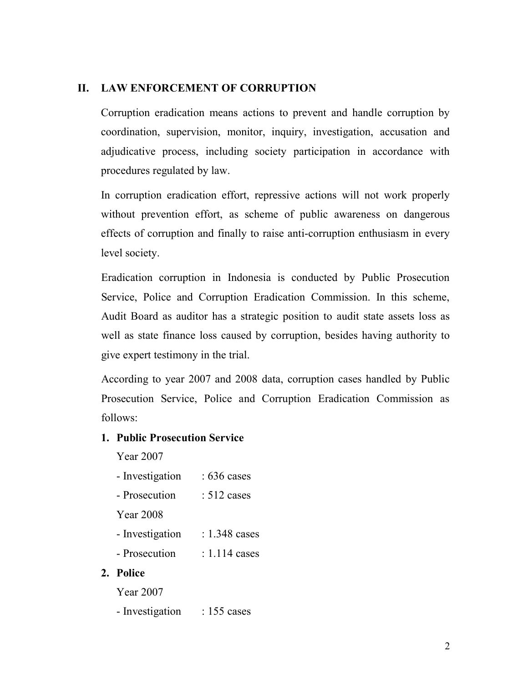# **II. LAW ENFORCEMENT OF CORRUPTION**

Corruption eradication means actions to prevent and handle corruption by coordination, supervision, monitor, inquiry, investigation, accusation and adjudicative process, including society participation in accordance with procedures regulated by law.

In corruption eradication effort, repressive actions will not work properly without prevention effort, as scheme of public awareness on dangerous effects of corruption and finally to raise anti-corruption enthusiasm in every level society.

Eradication corruption in Indonesia is conducted by Public Prosecution Service, Police and Corruption Eradication Commission. In this scheme, Audit Board as auditor has a strategic position to audit state assets loss as well as state finance loss caused by corruption, besides having authority to give expert testimony in the trial.

According to year 2007 and 2008 data, corruption cases handled by Public Prosecution Service, Police and Corruption Eradication Commission as follows:

### **1. Public Prosecution Service**

Year 2007

- Investigation : 636 cases
- Prosecution : 512 cases

Year 2008

- Investigation : 1.348 cases
- Prosecution : 1.114 cases

### **2. Police**

Year 2007

- Investigation : 155 cases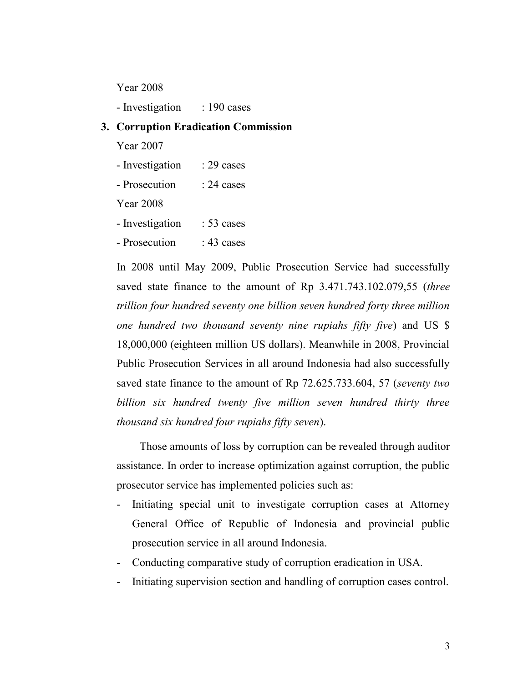Year 2008

- Investigation : 190 cases

# **3. Corruption Eradication Commission**

Year 2007

| - Investigation | $: 29 \text{ cases}$ |
|-----------------|----------------------|
|-----------------|----------------------|

- Prosecution : 24 cases

Year 2008

- Investigation : 53 cases
- Prosecution : 43 cases

In 2008 until May 2009, Public Prosecution Service had successfully saved state finance to the amount of Rp 3.471.743.102.079,55 (*three trillion four hundred seventy one billion seven hundred forty three million one hundred two thousand seventy nine rupiahs fifty five*) and US \$ 18,000,000 (eighteen million US dollars). Meanwhile in 2008, Provincial Public Prosecution Services in all around Indonesia had also successfully saved state finance to the amount of Rp 72.625.733.604, 57 (*seventy two billion six hundred twenty five million seven hundred thirty three thousand six hundred four rupiahs fifty seven*).

Those amounts of loss by corruption can be revealed through auditor assistance. In order to increase optimization against corruption, the public prosecutor service has implemented policies such as:

- Initiating special unit to investigate corruption cases at Attorney General Office of Republic of Indonesia and provincial public prosecution service in all around Indonesia.
- Conducting comparative study of corruption eradication in USA.
- Initiating supervision section and handling of corruption cases control.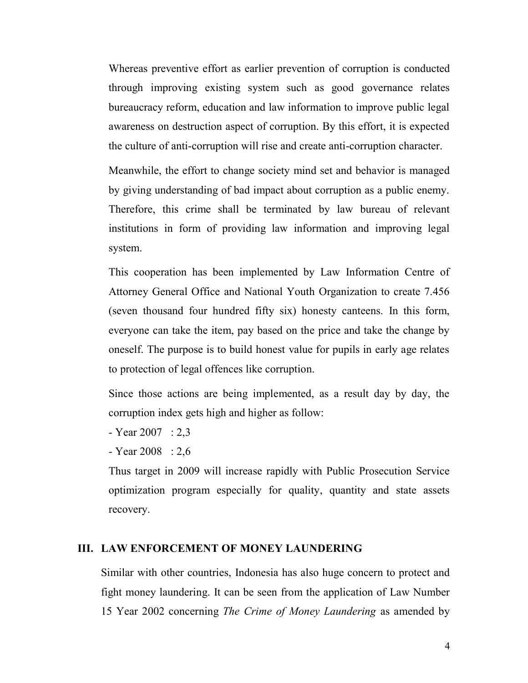Whereas preventive effort as earlier prevention of corruption is conducted through improving existing system such as good governance relates bureaucracy reform, education and law information to improve public legal awareness on destruction aspect of corruption. By this effort, it is expected the culture of anti-corruption will rise and create anti-corruption character.

Meanwhile, the effort to change society mind set and behavior is managed by giving understanding of bad impact about corruption as a public enemy. Therefore, this crime shall be terminated by law bureau of relevant institutions in form of providing law information and improving legal system.

This cooperation has been implemented by Law Information Centre of Attorney General Office and National Youth Organization to create 7.456 (seven thousand four hundred fifty six) honesty canteens. In this form, everyone can take the item, pay based on the price and take the change by oneself. The purpose is to build honest value for pupils in early age relates to protection of legal offences like corruption.

Since those actions are being implemented, as a result day by day, the corruption index gets high and higher as follow:

- Year 2007 : 2,3
- Year 2008 : 2,6

Thus target in 2009 will increase rapidly with Public Prosecution Service optimization program especially for quality, quantity and state assets recovery.

#### **III. LAW ENFORCEMENT OF MONEY LAUNDERING**

Similar with other countries, Indonesia has also huge concern to protect and fight money laundering. It can be seen from the application of Law Number 15 Year 2002 concerning *The Crime of Money Laundering* as amended by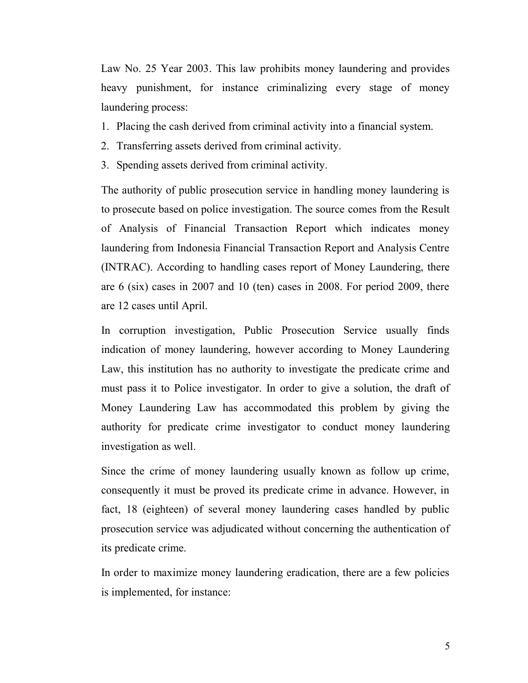Law No. 25 Year 2003. This law prohibits money laundering and provides heavy punishment, for instance criminalizing every stage of money laundering process:

- 1. Placing the cash derived from criminal activity into a financial system.
- 2. Transferring assets derived from criminal activity.
- 3. Spending assets derived from criminal activity.

The authority of public prosecution service in handling money laundering is to prosecute based on police investigation. The source comes from the Result of Analysis of Financial Transaction Report which indicates money laundering from Indonesia Financial Transaction Report and Analysis Centre (INTRAC). According to handling cases report of Money Laundering, there are 6 (six) cases in 2007 and 10 (ten) cases in 2008. For period 2009, there are 12 cases until April.

In corruption investigation, Public Prosecution Service usually finds indication of money laundering, however according to Money Laundering Law, this institution has no authority to investigate the predicate crime and must pass it to Police investigator. In order to give a solution, the draft of Money Laundering Law has accommodated this problem by giving the authority for predicate crime investigator to conduct money laundering investigation as well.

Since the crime of money laundering usually known as follow up crime, consequently it must be proved its predicate crime in advance. However, in fact, 18 (eighteen) of several money laundering cases handled by public prosecution service was adjudicated without concerning the authentication of its predicate crime.

In order to maximize money laundering eradication, there are a few policies is implemented, for instance: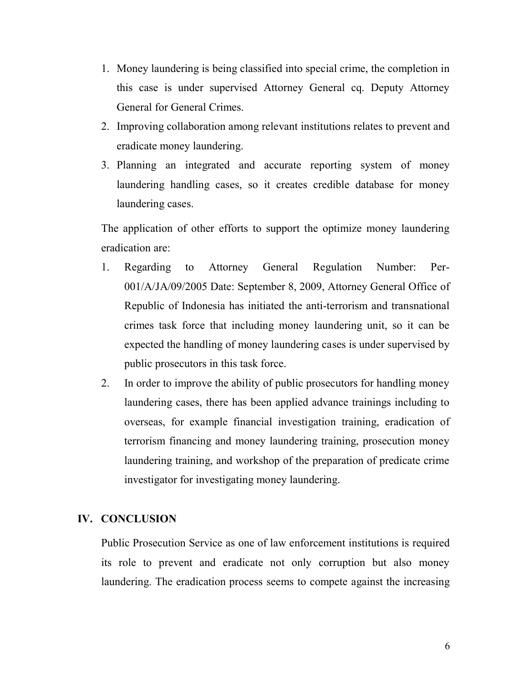- 1. Money laundering is being classified into special crime, the completion in this case is under supervised Attorney General cq. Deputy Attorney General for General Crimes.
- 2. Improving collaboration among relevant institutions relates to prevent and eradicate money laundering.
- 3. Planning an integrated and accurate reporting system of money laundering handling cases, so it creates credible database for money laundering cases.

The application of other efforts to support the optimize money laundering eradication are:

- 1. Regarding to Attorney General Regulation Number: Per-001/A/JA/09/2005 Date: September 8, 2009, Attorney General Office of Republic of Indonesia has initiated the anti-terrorism and transnational crimes task force that including money laundering unit, so it can be expected the handling of money laundering cases is under supervised by public prosecutors in this task force.
- 2. In order to improve the ability of public prosecutors for handling money laundering cases, there has been applied advance trainings including to overseas, for example financial investigation training, eradication of terrorism financing and money laundering training, prosecution money laundering training, and workshop of the preparation of predicate crime investigator for investigating money laundering.

#### **IV. CONCLUSION**

Public Prosecution Service as one of law enforcement institutions is required its role to prevent and eradicate not only corruption but also money laundering. The eradication process seems to compete against the increasing